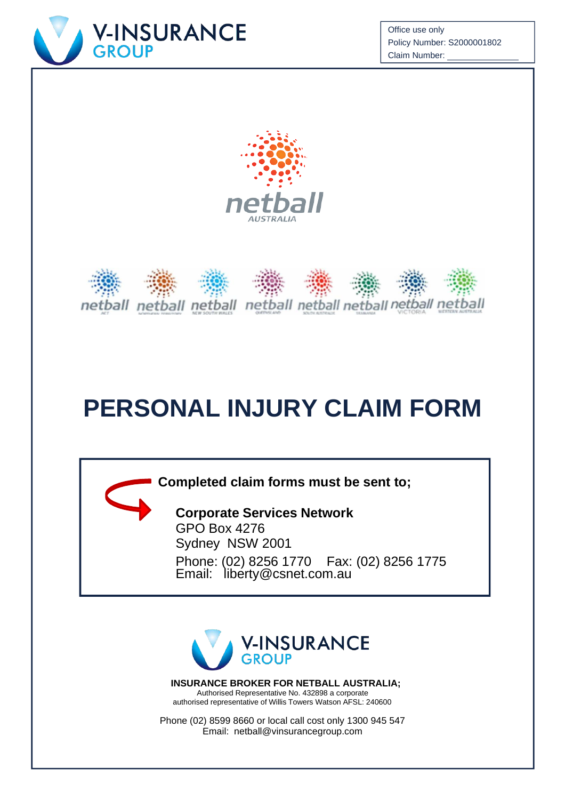

Office use only Policy Number: S2000001802 Claim Number:





# **PERSONAL INJURY CLAIM FORM**

**Completed claim forms must be sent to;**

**Corporate Services Network** GPO Box 4276 Sydney NSW 2001 Phone: (02) 8256 1770 Email: [liberty@csnet.com.au](mailto:liberty@csnet.com.au) Fax: (02) 8256 1775



**INSURANCE BROKER FOR NETBALL AUSTRALIA;** Authorised Representative No. 432898 a corporate authorised representative of Willis Towers Watson AFSL: 240600

Phone (02) 8599 8660 or local call cost only 1300 945 547 Email: [netball@vinsurancegroup.com](mailto:netball@vinsurancegroup.com)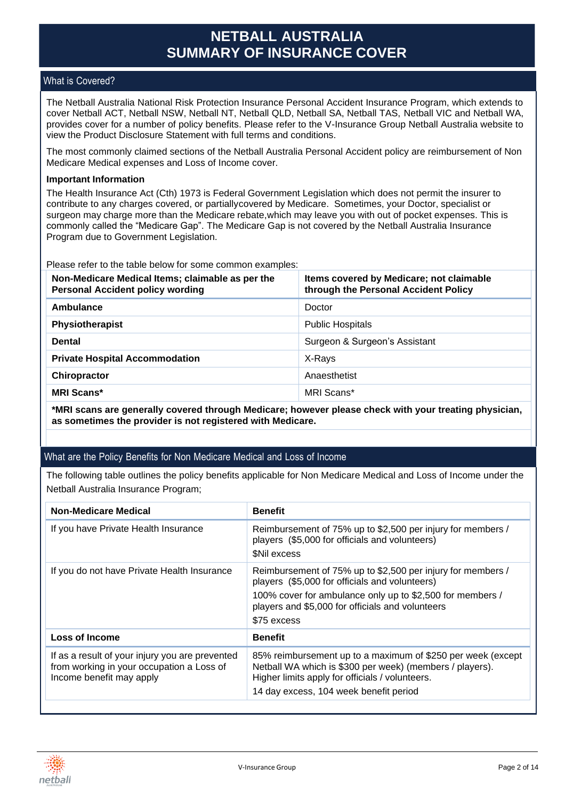## **NETBALL AUSTRALIA SUMMARY OF INSURANCE COVER**

### What is Covered?

The Netball Australia National Risk Protection Insurance Personal Accident Insurance Program, which extends to cover Netball ACT, Netball NSW, Netball NT, Netball QLD, Netball SA, Netball TAS, Netball VIC and Netball WA, provides cover for a number of policy benefits. Please refer to the V-Insurance Group Netball Australia website to view the Product Disclosure Statement with full terms and conditions.

The most commonly claimed sections of the Netball Australia Personal Accident policy are reimbursement of Non Medicare Medical expenses and Loss of Income cover.

#### **Important Information**

The Health Insurance Act (Cth) 1973 is Federal Government Legislation which does not permit the insurer to contribute to any charges covered, or partiallycovered by Medicare. Sometimes, your Doctor, specialist or surgeon may charge more than the Medicare rebate,which may leave you with out of pocket expenses. This is commonly called the "Medicare Gap". The Medicare Gap is not covered by the Netball Australia Insurance Program due to Government Legislation.

Please refer to the table below for some common examples:

| Non-Medicare Medical Items; claimable as per the<br><b>Personal Accident policy wording</b> | Items covered by Medicare; not claimable<br>through the Personal Accident Policy |
|---------------------------------------------------------------------------------------------|----------------------------------------------------------------------------------|
| Ambulance                                                                                   | Doctor                                                                           |
| Physiotherapist                                                                             | <b>Public Hospitals</b>                                                          |
| <b>Dental</b>                                                                               | Surgeon & Surgeon's Assistant                                                    |
| <b>Private Hospital Accommodation</b>                                                       | X-Rays                                                                           |
| <b>Chiropractor</b>                                                                         | Anaesthetist                                                                     |
| <b>MRI Scans*</b>                                                                           | MRI Scans*                                                                       |

**\*MRI scans are generally covered through Medicare; however please check with your treating physician, as sometimes the provider is not registered with Medicare.**

### What are the Policy Benefits for Non Medicare Medical and Loss of Income

The following table outlines the policy benefits applicable for Non Medicare Medical and Loss of Income under the Netball Australia Insurance Program;

| <b>Non-Medicare Medical</b>                                                                                              | <b>Benefit</b>                                                                                                                                                                                                                                |
|--------------------------------------------------------------------------------------------------------------------------|-----------------------------------------------------------------------------------------------------------------------------------------------------------------------------------------------------------------------------------------------|
| If you have Private Health Insurance                                                                                     | Reimbursement of 75% up to \$2,500 per injury for members /<br>players (\$5,000 for officials and volunteers)<br><b>SNil excess</b>                                                                                                           |
| If you do not have Private Health Insurance                                                                              | Reimbursement of 75% up to \$2,500 per injury for members /<br>players (\$5,000 for officials and volunteers)<br>100% cover for ambulance only up to \$2,500 for members /<br>players and \$5,000 for officials and volunteers<br>\$75 excess |
| Loss of Income                                                                                                           | <b>Benefit</b>                                                                                                                                                                                                                                |
| If as a result of your injury you are prevented<br>from working in your occupation a Loss of<br>Income benefit may apply | 85% reimbursement up to a maximum of \$250 per week (except<br>Netball WA which is \$300 per week) (members / players).<br>Higher limits apply for officials / volunteers.<br>14 day excess, 104 week benefit period                          |

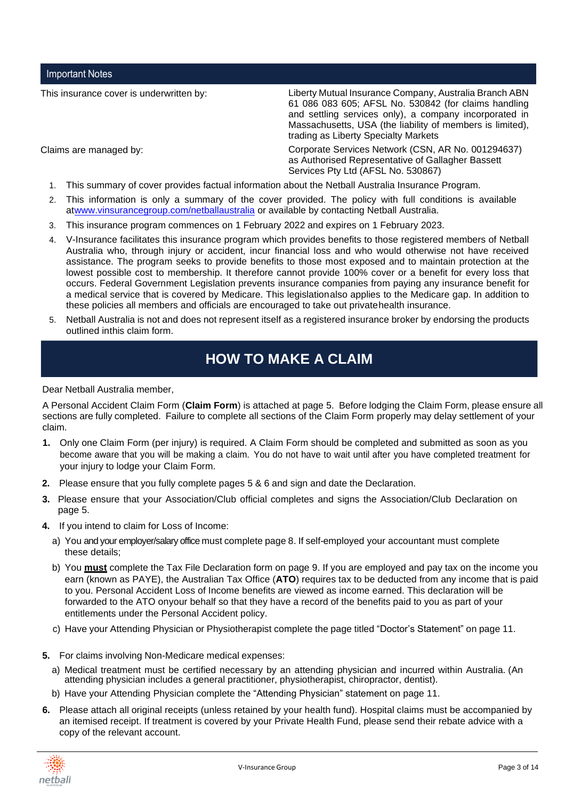Important Notes

This insurance cover is underwritten by: Liberty Mutual Insurance Company, Australia Branch ABN 61 086 083 605; AFSL No. 530842 (for claims handling and settling services only), a company incorporated in Massachusetts, USA (the liability of members is limited), trading as Liberty Specialty Markets

Claims are managed by: Corporate Services Network (CSN, AR No. 001294637) as Authorised Representative of Gallagher Bassett Services Pty Ltd (AFSL No. 530867)

- 1. This summary of cover provides factual information about the Netball Australia Insurance Program.
- 2. This information is only a summary of the cover provided. The policy with full conditions is available a[twww.vinsurancegroup.com/netballaustralia](http://www.vinsurancegroup.com/netballaustralia) or available by contacting Netball Australia.
- 3. This insurance program commences on 1 February 2022 and expires on 1 February 2023.
- 4. V-Insurance facilitates this insurance program which provides benefits to those registered members of Netball Australia who, through injury or accident, incur financial loss and who would otherwise not have received assistance. The program seeks to provide benefits to those most exposed and to maintain protection at the lowest possible cost to membership. It therefore cannot provide 100% cover or a benefit for every loss that occurs. Federal Government Legislation prevents insurance companies from paying any insurance benefit for a medical service that is covered by Medicare. This legislationalso applies to the Medicare gap. In addition to these policies all members and officials are encouraged to take out privatehealth insurance.
- 5. Netball Australia is not and does not represent itself as a registered insurance broker by endorsing the products outlined inthis claim form.

# **HOW TO MAKE A CLAIM**

Dear Netball Australia member,

A Personal Accident Claim Form (**Claim Form**) is attached at page 5. Before lodging the Claim Form, please ensure all sections are fully completed. Failure to complete all sections of the Claim Form properly may delay settlement of your claim.

- **1.** Only one Claim Form (per injury) is required. A Claim Form should be completed and submitted as soon as you become aware that you will be making a claim. You do not have to wait until after you have completed treatment for your injury to lodge your Claim Form.
- **2.** Please ensure that you fully complete pages 5 & 6 and sign and date the Declaration.
- **3.** Please ensure that your Association/Club official completes and signs the Association/Club Declaration on page 5.
- **4.** If you intend to claim for Loss of Income:
	- a) You and your employer/salary office must complete page 8. If self-employed your accountant must complete these details;
	- b) You **must** complete the Tax File Declaration form on page 9. If you are employed and pay tax on the income you earn (known as PAYE), the Australian Tax Office (**ATO**) requires tax to be deducted from any income that is paid to you. Personal Accident Loss of Income benefits are viewed as income earned. This declaration will be forwarded to the ATO onyour behalf so that they have a record of the benefits paid to you as part of your entitlements under the Personal Accident policy.
	- c) Have your Attending Physician or Physiotherapist complete the page titled "Doctor's Statement" on page 11.
- **5.** For claims involving Non-Medicare medical expenses:
	- a) Medical treatment must be certified necessary by an attending physician and incurred within Australia. (An attending physician includes a general practitioner, physiotherapist, chiropractor, dentist).
	- b) Have your Attending Physician complete the "Attending Physician" statement on page 11.
- **6.** Please attach all original receipts (unless retained by your health fund). Hospital claims must be accompanied by an itemised receipt. If treatment is covered by your Private Health Fund, please send their rebate advice with a copy of the relevant account.

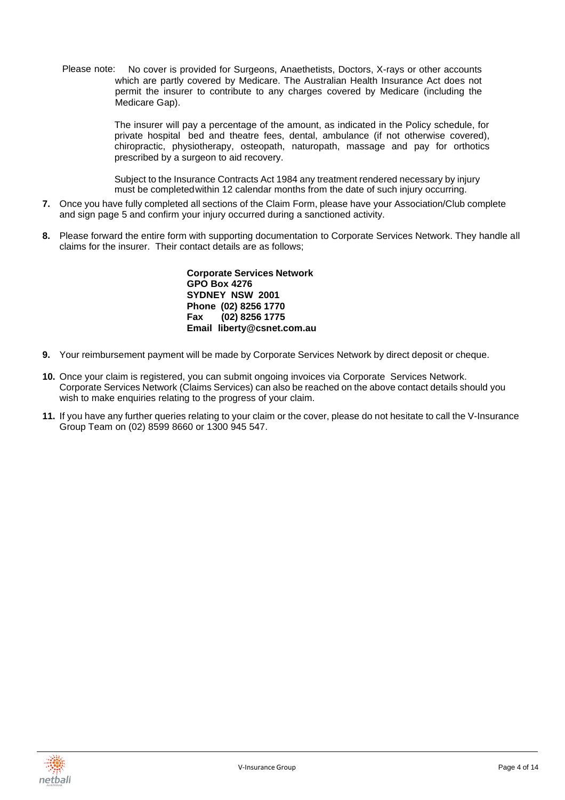Please note: No cover is provided for Surgeons, Anaethetists, Doctors, X-rays or other accounts which are partly covered by Medicare. The Australian Health Insurance Act does not permit the insurer to contribute to any charges covered by Medicare (including the Medicare Gap).

> The insurer will pay a percentage of the amount, as indicated in the Policy schedule, for private hospital bed and theatre fees, dental, ambulance (if not otherwise covered), chiropractic, physiotherapy, osteopath, naturopath, massage and pay for orthotics prescribed by a surgeon to aid recovery.

Subject to the Insurance Contracts Act 1984 any treatment rendered necessary by injury must be completedwithin 12 calendar months from the date of such injury occurring.

- **7.** Once you have fully completed all sections of the Claim Form, please have your Association/Club complete and sign page 5 and confirm your injury occurred during a sanctioned activity.
- **8.** Please forward the entire form with supporting documentation to Corporate Services Network. They handle all claims for the insurer. Their contact details are as follows;

**Corporate Services Network GPO Box 4276 SYDNEY NSW 2001 Phone (02) 8256 1770 Fax (02) 8256 1775 Email [liberty@csnet.com.au](mailto:liberty@csnet.com.au)**

- **9.** Your reimbursement payment will be made by Corporate Services Network by direct deposit or cheque.
- **10.** Once your claim is registered, you can submit ongoing invoices via Corporate Services Network. Corporate Services Network (Claims Services) can also be reached on the above contact details should you wish to make enquiries relating to the progress of your claim.
- **11.** If you have any further queries relating to your claim or the cover, please do not hesitate to call the V-Insurance Group Team on (02) 8599 8660 or 1300 945 547.

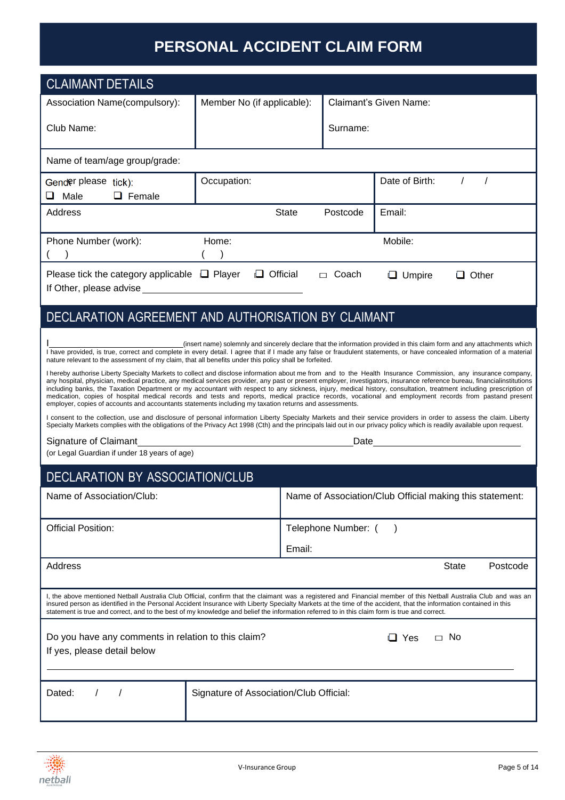# **PERSONAL ACCIDENT CLAIM FORM**

| <b>CLAIMANT DETAILS</b>                                                                                                                                                                                                                                                                                                                                                                                                                                                                                                                                                                                                                                                                                                                                                                                                                                                                                                                                                                                                                                                                                                                                                                                                                                                                                                                                                                                                                                                                                                                                                                                                                                                                                                                                                                                                                                                                                                                                                                                   |                                                                                |              |                     |                               |              |          |
|-----------------------------------------------------------------------------------------------------------------------------------------------------------------------------------------------------------------------------------------------------------------------------------------------------------------------------------------------------------------------------------------------------------------------------------------------------------------------------------------------------------------------------------------------------------------------------------------------------------------------------------------------------------------------------------------------------------------------------------------------------------------------------------------------------------------------------------------------------------------------------------------------------------------------------------------------------------------------------------------------------------------------------------------------------------------------------------------------------------------------------------------------------------------------------------------------------------------------------------------------------------------------------------------------------------------------------------------------------------------------------------------------------------------------------------------------------------------------------------------------------------------------------------------------------------------------------------------------------------------------------------------------------------------------------------------------------------------------------------------------------------------------------------------------------------------------------------------------------------------------------------------------------------------------------------------------------------------------------------------------------------|--------------------------------------------------------------------------------|--------------|---------------------|-------------------------------|--------------|----------|
| Association Name(compulsory):                                                                                                                                                                                                                                                                                                                                                                                                                                                                                                                                                                                                                                                                                                                                                                                                                                                                                                                                                                                                                                                                                                                                                                                                                                                                                                                                                                                                                                                                                                                                                                                                                                                                                                                                                                                                                                                                                                                                                                             | Member No (if applicable):                                                     |              |                     | <b>Claimant's Given Name:</b> |              |          |
| Club Name:                                                                                                                                                                                                                                                                                                                                                                                                                                                                                                                                                                                                                                                                                                                                                                                                                                                                                                                                                                                                                                                                                                                                                                                                                                                                                                                                                                                                                                                                                                                                                                                                                                                                                                                                                                                                                                                                                                                                                                                                |                                                                                |              | Surname:            |                               |              |          |
| Name of team/age group/grade:                                                                                                                                                                                                                                                                                                                                                                                                                                                                                                                                                                                                                                                                                                                                                                                                                                                                                                                                                                                                                                                                                                                                                                                                                                                                                                                                                                                                                                                                                                                                                                                                                                                                                                                                                                                                                                                                                                                                                                             |                                                                                |              |                     |                               |              |          |
| Gender please tick):<br>Male<br>$\Box$ Female<br>⊔                                                                                                                                                                                                                                                                                                                                                                                                                                                                                                                                                                                                                                                                                                                                                                                                                                                                                                                                                                                                                                                                                                                                                                                                                                                                                                                                                                                                                                                                                                                                                                                                                                                                                                                                                                                                                                                                                                                                                        | Occupation:                                                                    |              |                     | Date of Birth:                |              | $\prime$ |
| Address                                                                                                                                                                                                                                                                                                                                                                                                                                                                                                                                                                                                                                                                                                                                                                                                                                                                                                                                                                                                                                                                                                                                                                                                                                                                                                                                                                                                                                                                                                                                                                                                                                                                                                                                                                                                                                                                                                                                                                                                   |                                                                                | <b>State</b> | Postcode            | Email:                        |              |          |
| Phone Number (work):<br>$\rightarrow$                                                                                                                                                                                                                                                                                                                                                                                                                                                                                                                                                                                                                                                                                                                                                                                                                                                                                                                                                                                                                                                                                                                                                                                                                                                                                                                                                                                                                                                                                                                                                                                                                                                                                                                                                                                                                                                                                                                                                                     | Home:                                                                          |              |                     | Mobile:                       |              |          |
| Please tick the category applicable $\Box$ Player<br>If Other, please advise Manual Assembly of the state of the state of the state of the state of the state of the                                                                                                                                                                                                                                                                                                                                                                                                                                                                                                                                                                                                                                                                                                                                                                                                                                                                                                                                                                                                                                                                                                                                                                                                                                                                                                                                                                                                                                                                                                                                                                                                                                                                                                                                                                                                                                      | $\Box$ Official                                                                |              | $\Box$ Coach        | $\Box$ Umpire                 | $\Box$ Other |          |
| DECLARATION AGREEMENT AND AUTHORISATION BY CLAIMANT                                                                                                                                                                                                                                                                                                                                                                                                                                                                                                                                                                                                                                                                                                                                                                                                                                                                                                                                                                                                                                                                                                                                                                                                                                                                                                                                                                                                                                                                                                                                                                                                                                                                                                                                                                                                                                                                                                                                                       |                                                                                |              |                     |                               |              |          |
| (insert name) solemnly and sincerely declare that the information provided in this claim form and any attachments which<br>I have provided, is true, correct and complete in every detail. I agree that if I made any false or fraudulent statements, or have concealed information of a material<br>nature relevant to the assessment of my claim, that all benefits under this policy shall be forfeited.<br>I hereby authorise Liberty Specialty Markets to collect and disclose information about me from and to the Health Insurance Commission, any insurance company,<br>any hospital, physician, medical practice, any medical services provider, any past or present employer, investigators, insurance reference bureau, financialinstitutions<br>including banks, the Taxation Department or my accountant with respect to any sickness, injury, medical history, consultation, treatment including prescription of<br>medication, copies of hospital medical records and tests and reports, medical practice records, vocational and employment records from pastand present<br>employer, copies of accounts and accountants statements including my taxation returns and assessments.<br>I consent to the collection, use and disclosure of personal information Liberty Specialty Markets and their service providers in order to assess the claim. Liberty<br>Specialty Markets complies with the obligations of the Privacy Act 1998 (Cth) and the principals laid out in our privacy policy which is readily available upon request.<br>Signature of Claimant<br>Date <b>Date Date Date Date Date Date Date Date Date Date Date Date Date Date Date Date Date Date Date D</b><br><u> 1989 - Johann Stoff, deutscher Stoff, der Stoff, der Stoff, der Stoff, der Stoff, der Stoff, der Stoff, der </u><br>(or Legal Guardian if under 18 years of age)<br><b>DECLARATION BY ASSOCIATION/CLUB</b><br>Name of Association/Club Official making this statement:<br>Name of Association/Club: |                                                                                |              |                     |                               |              |          |
| <b>Official Position:</b>                                                                                                                                                                                                                                                                                                                                                                                                                                                                                                                                                                                                                                                                                                                                                                                                                                                                                                                                                                                                                                                                                                                                                                                                                                                                                                                                                                                                                                                                                                                                                                                                                                                                                                                                                                                                                                                                                                                                                                                 |                                                                                |              | Telephone Number: ( |                               |              |          |
|                                                                                                                                                                                                                                                                                                                                                                                                                                                                                                                                                                                                                                                                                                                                                                                                                                                                                                                                                                                                                                                                                                                                                                                                                                                                                                                                                                                                                                                                                                                                                                                                                                                                                                                                                                                                                                                                                                                                                                                                           |                                                                                | Email:       |                     |                               |              |          |
| Address                                                                                                                                                                                                                                                                                                                                                                                                                                                                                                                                                                                                                                                                                                                                                                                                                                                                                                                                                                                                                                                                                                                                                                                                                                                                                                                                                                                                                                                                                                                                                                                                                                                                                                                                                                                                                                                                                                                                                                                                   |                                                                                |              |                     |                               | <b>State</b> | Postcode |
| I, the above mentioned Netball Australia Club Official, confirm that the claimant was a registered and Financial member of this Netball Australia Club and was an<br>insured person as identified in the Personal Accident Insurance with Liberty Specialty Markets at the time of the accident, that the information contained in this<br>statement is true and correct, and to the best of my knowledge and belief the information referred to in this claim form is true and correct.                                                                                                                                                                                                                                                                                                                                                                                                                                                                                                                                                                                                                                                                                                                                                                                                                                                                                                                                                                                                                                                                                                                                                                                                                                                                                                                                                                                                                                                                                                                  |                                                                                |              |                     |                               |              |          |
| If yes, please detail below                                                                                                                                                                                                                                                                                                                                                                                                                                                                                                                                                                                                                                                                                                                                                                                                                                                                                                                                                                                                                                                                                                                                                                                                                                                                                                                                                                                                                                                                                                                                                                                                                                                                                                                                                                                                                                                                                                                                                                               | $\Box$ No<br>Do you have any comments in relation to this claim?<br>$\Box$ Yes |              |                     |                               |              |          |
| Dated:<br>$\prime$                                                                                                                                                                                                                                                                                                                                                                                                                                                                                                                                                                                                                                                                                                                                                                                                                                                                                                                                                                                                                                                                                                                                                                                                                                                                                                                                                                                                                                                                                                                                                                                                                                                                                                                                                                                                                                                                                                                                                                                        | Signature of Association/Club Official:                                        |              |                     |                               |              |          |

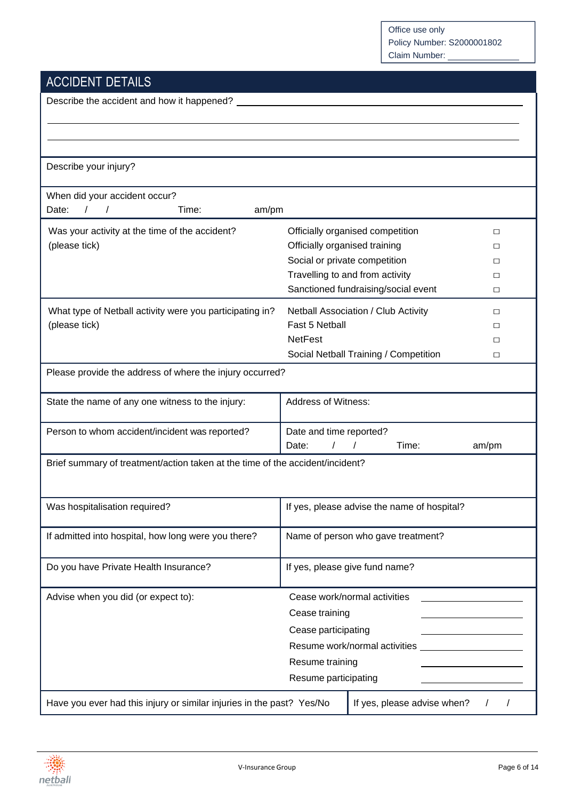# ACCIDENT DETAILS

| Describe the accident and how it happened?                                                           |                               |                                             |        |  |
|------------------------------------------------------------------------------------------------------|-------------------------------|---------------------------------------------|--------|--|
|                                                                                                      |                               |                                             |        |  |
|                                                                                                      |                               |                                             |        |  |
| Describe your injury?                                                                                |                               |                                             |        |  |
| When did your accident occur?                                                                        |                               |                                             |        |  |
| $\prime$<br>Date:<br>$\sqrt{ }$<br>Time:<br>am/pm                                                    |                               |                                             |        |  |
| Was your activity at the time of the accident?                                                       |                               | Officially organised competition            | $\Box$ |  |
| (please tick)                                                                                        | Officially organised training |                                             | $\Box$ |  |
|                                                                                                      | Social or private competition |                                             | $\Box$ |  |
|                                                                                                      |                               | Travelling to and from activity             | $\Box$ |  |
|                                                                                                      |                               | Sanctioned fundraising/social event         | $\Box$ |  |
| What type of Netball activity were you participating in?                                             |                               | Netball Association / Club Activity         | □      |  |
| (please tick)                                                                                        | Fast 5 Netball                |                                             | □      |  |
|                                                                                                      | <b>NetFest</b>                |                                             | $\Box$ |  |
|                                                                                                      |                               | Social Netball Training / Competition       | $\Box$ |  |
| Please provide the address of where the injury occurred?                                             |                               |                                             |        |  |
| State the name of any one witness to the injury:                                                     | <b>Address of Witness:</b>    |                                             |        |  |
| Person to whom accident/incident was reported?                                                       | Date and time reported?       |                                             |        |  |
|                                                                                                      | Date:                         | Time:                                       | am/pm  |  |
| Brief summary of treatment/action taken at the time of the accident/incident?                        |                               |                                             |        |  |
|                                                                                                      |                               |                                             |        |  |
| Was hospitalisation required?                                                                        |                               | If yes, please advise the name of hospital? |        |  |
|                                                                                                      |                               |                                             |        |  |
| If admitted into hospital, how long were you there?                                                  |                               | Name of person who gave treatment?          |        |  |
| Do you have Private Health Insurance?                                                                |                               | If yes, please give fund name?              |        |  |
| Advise when you did (or expect to):                                                                  |                               | Cease work/normal activities                |        |  |
|                                                                                                      | Cease training                |                                             |        |  |
|                                                                                                      | Cease participating           |                                             |        |  |
|                                                                                                      |                               | Resume work/normal activities               |        |  |
|                                                                                                      | Resume training               |                                             |        |  |
|                                                                                                      | Resume participating          |                                             |        |  |
| Have you ever had this injury or similar injuries in the past? Yes/No<br>If yes, please advise when? |                               |                                             |        |  |

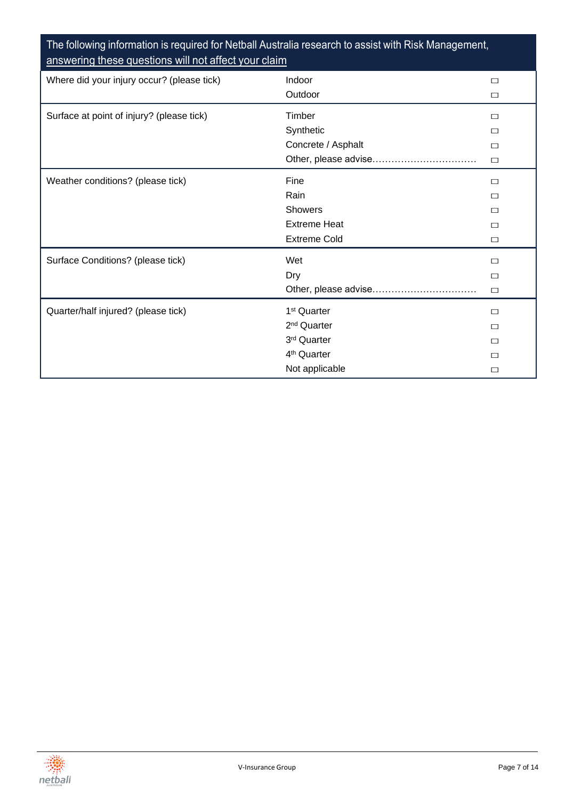### The following information is required for Netball Australia research to assist with Risk Management, answering these questions will not affect your claim

| Where did your injury occur? (please tick) | Indoor                  |        |
|--------------------------------------------|-------------------------|--------|
|                                            |                         | □      |
|                                            | Outdoor                 | $\Box$ |
| Surface at point of injury? (please tick)  | Timber                  | □      |
|                                            | Synthetic               | П      |
|                                            | Concrete / Asphalt      | □      |
|                                            | Other, please advise    | $\Box$ |
| Weather conditions? (please tick)          | Fine                    | П      |
|                                            | Rain                    | П      |
|                                            | Showers                 | П      |
|                                            | <b>Extreme Heat</b>     | $\Box$ |
|                                            | <b>Extreme Cold</b>     | □      |
| Surface Conditions? (please tick)          | Wet                     | $\Box$ |
|                                            | Dry                     | $\Box$ |
|                                            |                         | $\Box$ |
| Quarter/half injured? (please tick)        | 1 <sup>st</sup> Quarter | $\Box$ |
|                                            | 2 <sup>nd</sup> Quarter | П      |
|                                            | 3rd Quarter             | □      |
|                                            | 4 <sup>th</sup> Quarter | П      |
|                                            | Not applicable          | П      |

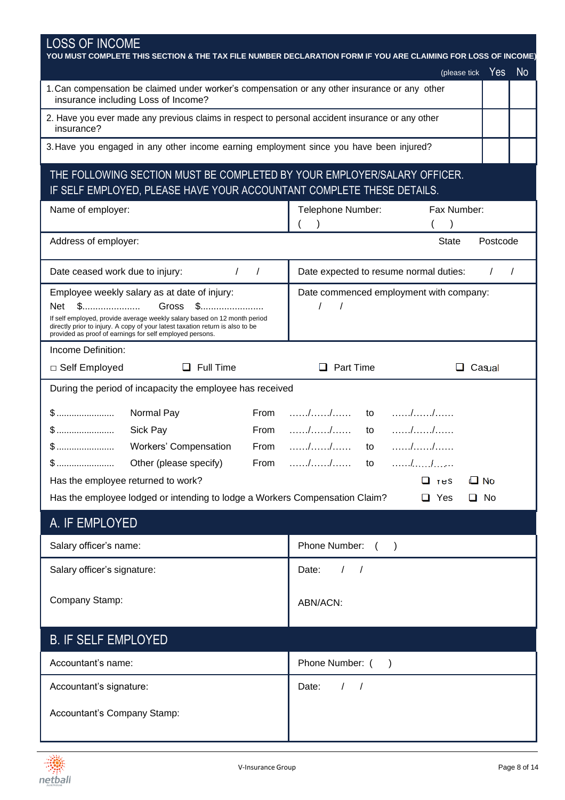| <b>LOSS OF INCOME</b><br>YOU MUST COMPLETE THIS SECTION & THE TAX FILE NUMBER DECLARATION FORM IF YOU ARE CLAIMING FOR LOSS OF INCOME)    |                                                                                      |  |  |  |
|-------------------------------------------------------------------------------------------------------------------------------------------|--------------------------------------------------------------------------------------|--|--|--|
|                                                                                                                                           | N <sub>o</sub><br>Yes<br>(please tick                                                |  |  |  |
| 1. Can compensation be claimed under worker's compensation or any other insurance or any other<br>insurance including Loss of Income?     |                                                                                      |  |  |  |
| 2. Have you ever made any previous claims in respect to personal accident insurance or any other                                          |                                                                                      |  |  |  |
| insurance?                                                                                                                                |                                                                                      |  |  |  |
| 3. Have you engaged in any other income earning employment since you have been injured?                                                   |                                                                                      |  |  |  |
| THE FOLLOWING SECTION MUST BE COMPLETED BY YOUR EMPLOYER/SALARY OFFICER.                                                                  |                                                                                      |  |  |  |
| IF SELF EMPLOYED, PLEASE HAVE YOUR ACCOUNTANT COMPLETE THESE DETAILS.                                                                     |                                                                                      |  |  |  |
| Name of employer:                                                                                                                         | Telephone Number:<br>Fax Number:                                                     |  |  |  |
|                                                                                                                                           |                                                                                      |  |  |  |
| Address of employer:                                                                                                                      | Postcode<br><b>State</b>                                                             |  |  |  |
| Date ceased work due to injury:<br>$\left  \begin{array}{cc} \end{array} \right $                                                         | Date expected to resume normal duties:                                               |  |  |  |
| Employee weekly salary as at date of injury:                                                                                              | Date commenced employment with company:                                              |  |  |  |
| Gross<br>Net<br>\$<br>If self employed, provide average weekly salary based on 12 month period                                            | $\prime$                                                                             |  |  |  |
| directly prior to injury. A copy of your latest taxation return is also to be<br>provided as proof of earnings for self employed persons. |                                                                                      |  |  |  |
| Income Definition:                                                                                                                        |                                                                                      |  |  |  |
| $\Box$ Full Time<br>□ Self Employed                                                                                                       | $\Box$ Part Time<br>Casual                                                           |  |  |  |
| During the period of incapacity the employee has received                                                                                 |                                                                                      |  |  |  |
| From<br>Normal Pay                                                                                                                        | $\ldots$ , $\ldots$ , $\ldots$ , $\ldots$ to<br>$\ldots \ldots \ldots \ldots \ldots$ |  |  |  |
| From<br>Sick Pay                                                                                                                          | $\ldots \ldots \ldots \ldots \ldots$<br>$\ldots \ldots \ldots \ldots$<br>to          |  |  |  |
| $$$<br><b>Workers' Compensation</b><br>From                                                                                               | $\ldots \ldots \ldots \ldots$<br>to                                                  |  |  |  |
| From                                                                                                                                      | . / /<br>. / <u>.</u> /<br>to                                                        |  |  |  |
| Has the employee returned to work?                                                                                                        | $\Box$ No<br>$\Box$ res                                                              |  |  |  |
| Has the employee lodged or intending to lodge a Workers Compensation Claim?                                                               | $\Box$ Yes<br>$\Box$ No                                                              |  |  |  |
| A. IF EMPLOYED                                                                                                                            |                                                                                      |  |  |  |
| Salary officer's name:                                                                                                                    | Phone Number: ()                                                                     |  |  |  |
| Salary officer's signature:                                                                                                               | Date:<br>$\sqrt{2}$<br>$\sqrt{2}$                                                    |  |  |  |
| Company Stamp:                                                                                                                            |                                                                                      |  |  |  |
|                                                                                                                                           | ABN/ACN:                                                                             |  |  |  |
| <b>B. IF SELF EMPLOYED</b>                                                                                                                |                                                                                      |  |  |  |
| Accountant's name:                                                                                                                        | Phone Number: (                                                                      |  |  |  |
| Accountant's signature:                                                                                                                   | Date:<br>$\left  \begin{array}{cc} \end{array} \right $                              |  |  |  |
| Accountant's Company Stamp:                                                                                                               |                                                                                      |  |  |  |
|                                                                                                                                           |                                                                                      |  |  |  |
|                                                                                                                                           |                                                                                      |  |  |  |

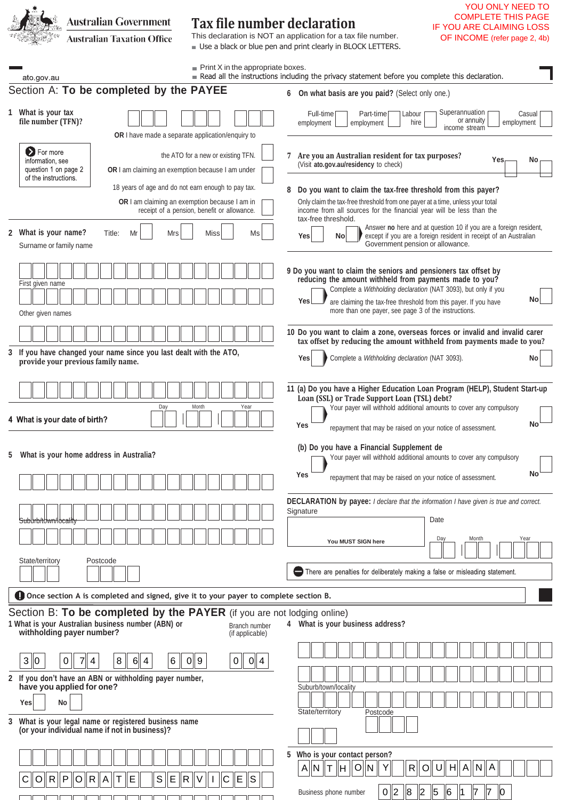**Australian Government Tax file number declaration** IF YOU ARE CLAIMING LOSS This declaration is NOT an application for a tax file number. **Australian Taxation Office** OF INCOME (refer page 2, 4b) ■ Use a black or blue pen and print clearly in BLOCK LETTERS. Print X in the appropriate boxes.<br>Read all the instructions including the privacy statement before you complete this declaration. ato.gov.au Section A: **To be completed by the PAYEE 6 On what basis are you paid?** (Select only one.) **1 What is your tax** Superannuation Full-time Labour Part-time Casua or annuity **file number (TFN)?** employment employment hire employment income stream **OR** I have made a separate application/enquiry to **D** For more the ATO for a new or existing TFN. **7 Are you an Australian resident for tax purposes?** (Visit **ato.gov.au/residency** to check) **Yes No** information, see question 1 on page 2 **OR** I am claiming an exemption because I am under of the instructions. 18 years of age and do not earn enough to pay tax. **8 Do you want to claim the tax**‑**free threshold from this payer? OR** I am claiming an exemption because I am in Only claim the tax‑free threshold from one payer at a time, unless your total receipt of a pension, benefit or allowance. income from all sources for the financial year will be less than the tax-free threshold. Answer **no** here and at question 10 if you are a foreign resident, **2 What is your name?** Title: Mr Mrs Miss**\_\_\_\_** Ms\_\_\_\_\_ **Yes No P** except if you are a foreign resident in receipt of an Australian Government pension or allowance. Surname or family name **9 Do you want to claim the seniors and pensioners tax offset by reducing the amount withheld from payments made to you?** First given name Complete a *Withholding declaration* (NAT 3093), but only if you are claiming the tax-free threshold from this payer. If you have more than one payer, see page 3 of the instructions. Other given names **10 Do you want to claim a zone, overseas forces or invalid and invalid carer tax offset by reducing the amount withheld from payments made to you? 3 If you have changed your name since you last dealt with the ATO, provide your previous family name.** No<br>**provide your previous family name.** No **11 (a) Do you have a Higher Education Loan Program (HELP), Student Start**‑**up Loan (SSL) or Trade Support Loan (TSL) debt?** Your payer will withhold additional amounts to cover any compulsory Day Month Year 4 What is your date of birth? **Yes** repayment that may be raised on your notice of assessment. **(b) Do you have a Financial Supplement de 5 What is your home address in Australia?** Your payer will withhold additional amounts to cover any compulsory **Yes** repayment that may be raised on your notice of assessment. **DECLARATION by payee:** *I declare that the information I have given is true and correct.* **Signature** Date Suburb/town/locality **You MUST SIGN here** Day Month Year State/territory Postcode There are penalties for deliberately making a false or misleading statement. **Once section A is completed and signed, give it to your payer to complete section B.** Section B: **To be completed by the PAYER** (if you are not lodging online) **1 What is your Australian business number (ABN) or 4 What is your business address?** Branch number **withholding payer number?** (if applicable) 3 0 0 7 4 8 6 4 6 0 9 0 0 4 **2 If you don't have an ABN or withholding payer number, have you applied for one?** Suburb/town/localit **Yes No** State/territory Postcode **3 What is your legal name or registered business name (or your individual name if not in business)? 5 Who is your contact person?** A ||N ||T ||H || O||N || Y|| || R || O|| U|| H|| A || N || A

Business phone number

C || O || R || P || O || R || A || T || E || || S || E || R || V || I || C || E || S

0 2 8 2 5 6 1 7 7 0

YOU ONLY NEED TO COMPLETE THIS PAGE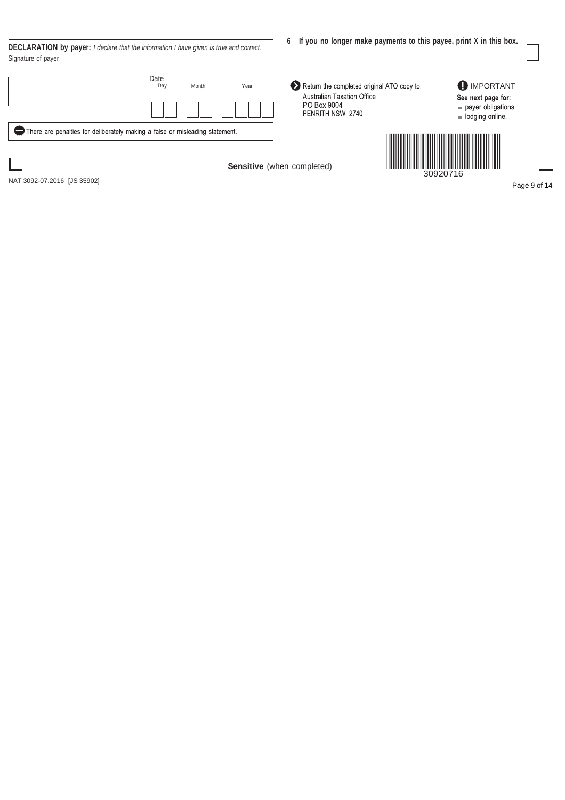**DECLARATION by payer:** *I declare that the information I have given is true and correct.* Signature of payer

|                                                                              | Date<br>Month<br>Day | Year | Return the completed original ATO copy to:<br><b>Australian Taxation Office</b><br>PO Box 9004<br>PENRITH NSW 2740 | <b>IMPORTANT</b><br>See next page for:<br>payer obligations<br>$\equiv$ lodging online. |
|------------------------------------------------------------------------------|----------------------|------|--------------------------------------------------------------------------------------------------------------------|-----------------------------------------------------------------------------------------|
| There are penalties for deliberately making a false or misleading statement. |                      |      |                                                                                                                    |                                                                                         |
| NAT 3092-07.2016 [JS 35902]                                                  |                      |      | Sensitive (when completed)                                                                                         | 30920716<br>Page 9                                                                      |

**6 If you no longer make payments to this payee, print X in this box.**

ge 9 of 14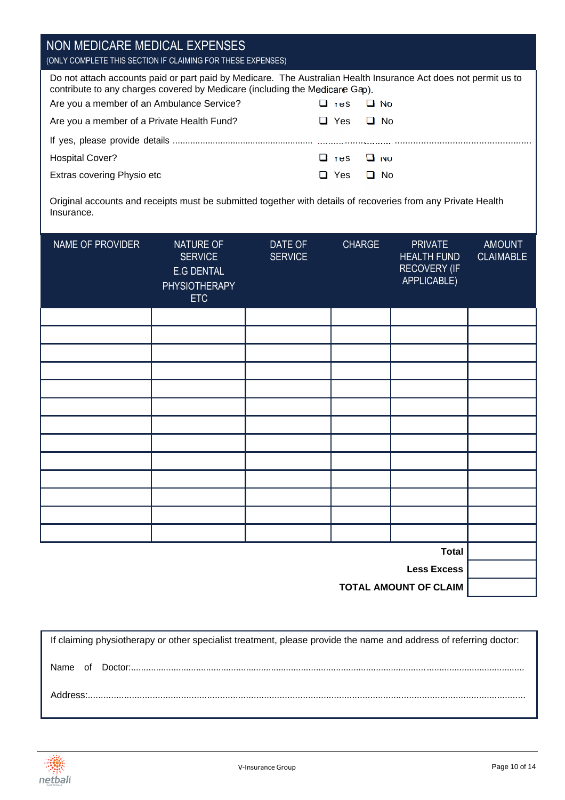| NON MEDICARE MEDICAL EXPENSES<br>(ONLY COMPLETE THIS SECTION IF CLAIMING FOR THESE EXPENSES)                                                                                                   |                        |  |  |  |  |
|------------------------------------------------------------------------------------------------------------------------------------------------------------------------------------------------|------------------------|--|--|--|--|
| Do not attach accounts paid or part paid by Medicare. The Australian Health Insurance Act does not permit us to<br>contribute to any charges covered by Medicare (including the Medicare Gap). |                        |  |  |  |  |
| Are you a member of an Ambulance Service?                                                                                                                                                      | LI No<br>Ш те≲.        |  |  |  |  |
| Are you a member of a Private Health Fund?                                                                                                                                                     | $\Box$ No<br>Yes.<br>ப |  |  |  |  |
|                                                                                                                                                                                                |                        |  |  |  |  |
| Hospital Cover?                                                                                                                                                                                | $\Box$ res<br>LI ivo   |  |  |  |  |
| Extras covering Physio etc                                                                                                                                                                     | $\Box$ No<br>Yes.<br>ப |  |  |  |  |
| Original accounts and receipts must be submitted together with details of recoveries from any Private Health<br>Insurance.                                                                     |                        |  |  |  |  |

| NAME OF PROVIDER | NATURE OF<br><b>SERVICE</b><br>E.G DENTAL<br><b>PHYSIOTHERAPY</b><br><b>ETC</b> | DATE OF<br><b>SERVICE</b> | CHARGE | <b>PRIVATE</b><br><b>HEALTH FUND</b><br><b>RECOVERY (IF</b><br>APPLICABLE) | <b>AMOUNT</b><br><b>CLAIMABLE</b> |
|------------------|---------------------------------------------------------------------------------|---------------------------|--------|----------------------------------------------------------------------------|-----------------------------------|
|                  |                                                                                 |                           |        |                                                                            |                                   |
|                  |                                                                                 |                           |        |                                                                            |                                   |
|                  |                                                                                 |                           |        |                                                                            |                                   |
|                  |                                                                                 |                           |        |                                                                            |                                   |
|                  |                                                                                 |                           |        |                                                                            |                                   |
|                  |                                                                                 |                           |        |                                                                            |                                   |
|                  |                                                                                 |                           |        |                                                                            |                                   |
|                  |                                                                                 |                           |        |                                                                            |                                   |
|                  |                                                                                 |                           |        |                                                                            |                                   |
|                  |                                                                                 |                           |        |                                                                            |                                   |
|                  |                                                                                 |                           |        |                                                                            |                                   |
|                  |                                                                                 |                           |        |                                                                            |                                   |
|                  |                                                                                 |                           |        |                                                                            |                                   |
|                  |                                                                                 |                           |        | <b>Total</b>                                                               |                                   |
|                  |                                                                                 |                           |        | <b>Less Excess</b>                                                         |                                   |
|                  |                                                                                 |                           |        |                                                                            |                                   |

**TOTAL AMOUNT OF CLAIM**

If claiming physiotherapy or other specialist treatment, please provide the name and address of referring doctor: Name of Doctor:............................................................................................................................................................. Address:.........................................................................................................................................................................

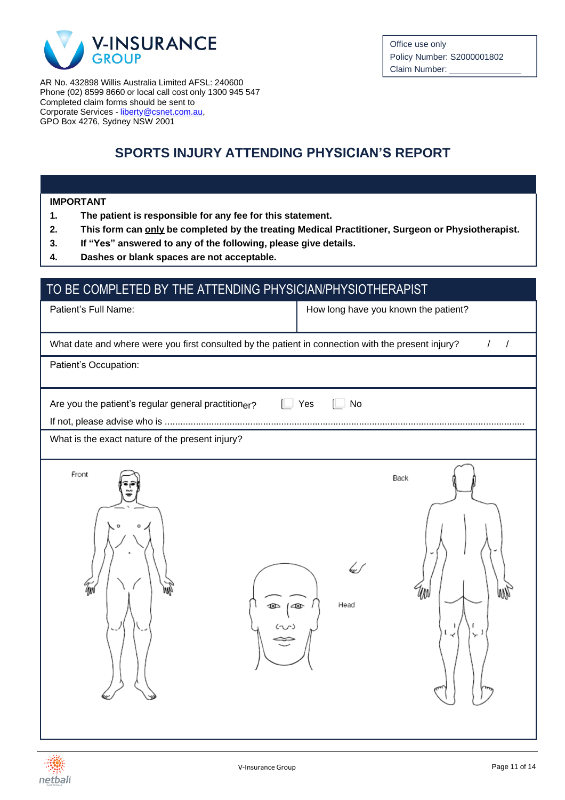

AR No. 432898 Willis Australia Limited AFSL: 240600 Phone (02) 8599 8660 or local call cost only 1300 945 547 Completed claim forms should be sent to Corporate Services - [liberty@csnet.com.au,](mailto:liberty@csnet.com.au) GPO Box 4276, Sydney NSW 2001

### **SPORTS INJURY ATTENDING PHYSICIAN'S REPORT**

#### **IMPORTANT**

- **1. The patient is responsible for any fee for this statement.**
- **2. This form can only be completed by the treating Medical Practitioner, Surgeon or Physiotherapist.**
- **3. If "Yes" answered to any of the following, please give details.**
- **4. Dashes or blank spaces are not acceptable.**

### TO BE COMPLETED BY THE ATTENDING PHYSICIAN/PHYSIOTHERAPIST

Patient's Full Name:  $\parallel$  How long have you known the patient?

| What date and where were you first consulted by the patient in connection with the present injury? |  |
|----------------------------------------------------------------------------------------------------|--|
|                                                                                                    |  |

Patient's Occupation:

 $\Box$  Yes  $\Box$  No Are you the patient's regular general practition $_{\rm er}$ ? If not, please advise who is ...........................................................................................................................................

What is the exact nature of the present injury?



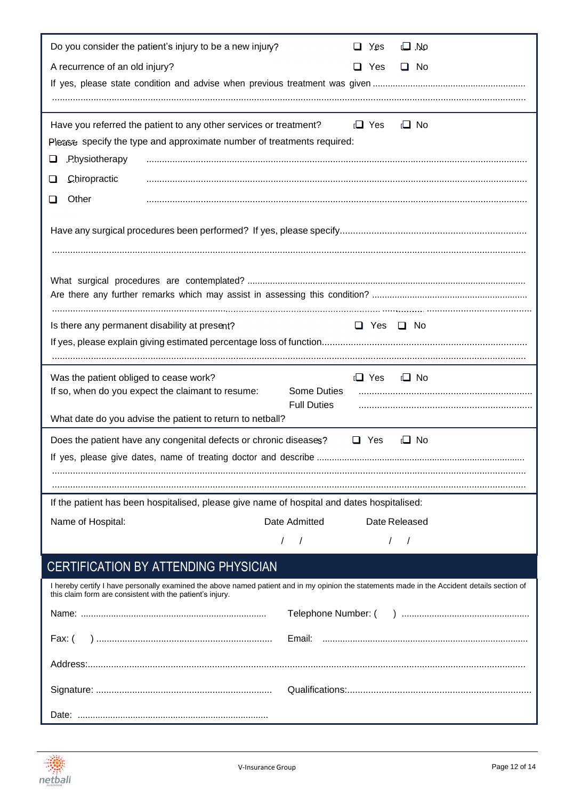| Do you consider the patient's injury to be a new injury?                                    | $\Box$ .No<br>$\Box$ Yes                                                                                                                     |
|---------------------------------------------------------------------------------------------|----------------------------------------------------------------------------------------------------------------------------------------------|
| A recurrence of an old injury?                                                              | $\Box$ Yes<br>$\Box$ No                                                                                                                      |
|                                                                                             |                                                                                                                                              |
|                                                                                             |                                                                                                                                              |
| Have you referred the patient to any other services or treatment?                           | $\Box$ Yes<br>$\Box$ No                                                                                                                      |
| Please specify the type and approximate number of treatments required:                      |                                                                                                                                              |
| .P.hysiotherapy<br>⊔                                                                        |                                                                                                                                              |
| Chiropractic<br>⊔                                                                           |                                                                                                                                              |
| Other<br>❏                                                                                  |                                                                                                                                              |
|                                                                                             |                                                                                                                                              |
|                                                                                             |                                                                                                                                              |
|                                                                                             |                                                                                                                                              |
|                                                                                             |                                                                                                                                              |
|                                                                                             |                                                                                                                                              |
|                                                                                             |                                                                                                                                              |
| Is there any permanent disability at present?                                               | $\Box$ Yes $\Box$ No                                                                                                                         |
|                                                                                             |                                                                                                                                              |
|                                                                                             |                                                                                                                                              |
| Was the patient obliged to cease work?<br>If so, when do you expect the claimant to resume: | $\Box$ Yes<br>$\Box$ No<br>Some Duties                                                                                                       |
|                                                                                             | <b>Full Duties</b>                                                                                                                           |
| What date do you advise the patient to return to netball?                                   |                                                                                                                                              |
| Does the patient have any congenital defects or chronic diseases?                           | □<br>Yes<br>I No                                                                                                                             |
|                                                                                             |                                                                                                                                              |
|                                                                                             |                                                                                                                                              |
| If the patient has been hospitalised, please give name of hospital and dates hospitalised:  |                                                                                                                                              |
| Name of Hospital:                                                                           | Date Admitted<br>Date Released                                                                                                               |
|                                                                                             | $\frac{1}{2}$<br>$\prime$<br>$\sqrt{2}$                                                                                                      |
|                                                                                             |                                                                                                                                              |
| CERTIFICATION BY ATTENDING PHYSICIAN                                                        |                                                                                                                                              |
| this claim form are consistent with the patient's injury.                                   | I hereby certify I have personally examined the above named patient and in my opinion the statements made in the Accident details section of |
|                                                                                             |                                                                                                                                              |
| Fax: (                                                                                      |                                                                                                                                              |
|                                                                                             |                                                                                                                                              |
|                                                                                             |                                                                                                                                              |
|                                                                                             |                                                                                                                                              |

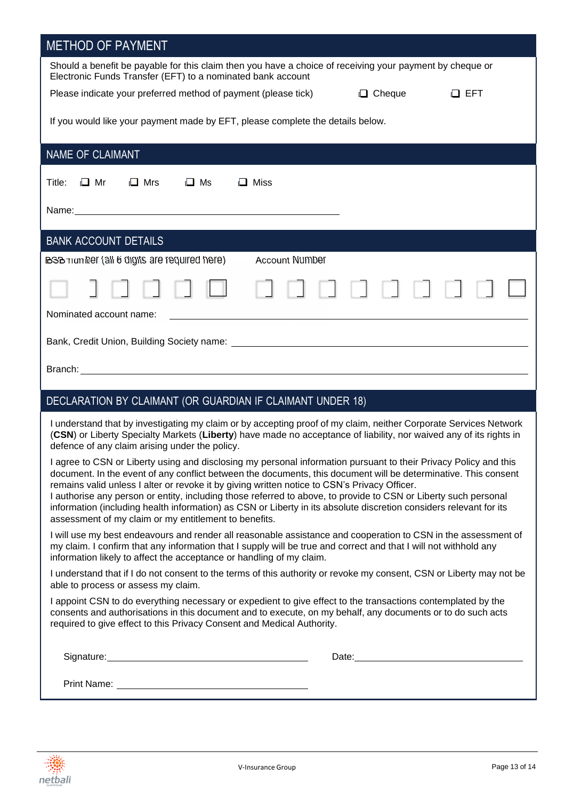| <b>METHOD OF PAYMENT</b>                                                                                                                                                                                                                                                                                                                                                                                                                                                                                                                                                                                                              |  |
|---------------------------------------------------------------------------------------------------------------------------------------------------------------------------------------------------------------------------------------------------------------------------------------------------------------------------------------------------------------------------------------------------------------------------------------------------------------------------------------------------------------------------------------------------------------------------------------------------------------------------------------|--|
| Should a benefit be payable for this claim then you have a choice of receiving your payment by cheque or<br>Electronic Funds Transfer (EFT) to a nominated bank account                                                                                                                                                                                                                                                                                                                                                                                                                                                               |  |
| $\Box$ Cheque<br>Please indicate your preferred method of payment (please tick)<br>$\Box$ EFT                                                                                                                                                                                                                                                                                                                                                                                                                                                                                                                                         |  |
| If you would like your payment made by EFT, please complete the details below.                                                                                                                                                                                                                                                                                                                                                                                                                                                                                                                                                        |  |
| NAME OF CLAIMANT                                                                                                                                                                                                                                                                                                                                                                                                                                                                                                                                                                                                                      |  |
| $\Box$ Mrs<br>$\Box$ Ms<br>$\Box$ Mr<br>$\Box$ Miss<br>Title:                                                                                                                                                                                                                                                                                                                                                                                                                                                                                                                                                                         |  |
| Name: Name:                                                                                                                                                                                                                                                                                                                                                                                                                                                                                                                                                                                                                           |  |
| <b>BANK ACCOUNT DETAILS</b>                                                                                                                                                                                                                                                                                                                                                                                                                                                                                                                                                                                                           |  |
| <b>BSB</b> Trum her (all 6 digits are required here)<br><b>Account Number</b>                                                                                                                                                                                                                                                                                                                                                                                                                                                                                                                                                         |  |
|                                                                                                                                                                                                                                                                                                                                                                                                                                                                                                                                                                                                                                       |  |
| Nominated account name:<br>an an an Dùbhlachd an Chuid ann an Chuid an Chuid an Chuid an Chuid an Chuid an Chuid an Chuid an Chuid an Chu                                                                                                                                                                                                                                                                                                                                                                                                                                                                                             |  |
|                                                                                                                                                                                                                                                                                                                                                                                                                                                                                                                                                                                                                                       |  |
|                                                                                                                                                                                                                                                                                                                                                                                                                                                                                                                                                                                                                                       |  |
| DECLARATION BY CLAIMANT (OR GUARDIAN IF CLAIMANT UNDER 18)                                                                                                                                                                                                                                                                                                                                                                                                                                                                                                                                                                            |  |
| I understand that by investigating my claim or by accepting proof of my claim, neither Corporate Services Network<br>(CSN) or Liberty Specialty Markets (Liberty) have made no acceptance of liability, nor waived any of its rights in<br>defence of any claim arising under the policy.                                                                                                                                                                                                                                                                                                                                             |  |
| I agree to CSN or Liberty using and disclosing my personal information pursuant to their Privacy Policy and this<br>document. In the event of any conflict between the documents, this document will be determinative. This consent<br>remains valid unless I alter or revoke it by giving written notice to CSN's Privacy Officer.<br>I authorise any person or entity, including those referred to above, to provide to CSN or Liberty such personal<br>information (including health information) as CSN or Liberty in its absolute discretion considers relevant for its<br>assessment of my claim or my entitlement to benefits. |  |
| I will use my best endeavours and render all reasonable assistance and cooperation to CSN in the assessment of<br>my claim. I confirm that any information that I supply will be true and correct and that I will not withhold any<br>information likely to affect the acceptance or handling of my claim.                                                                                                                                                                                                                                                                                                                            |  |
| I understand that if I do not consent to the terms of this authority or revoke my consent, CSN or Liberty may not be<br>able to process or assess my claim.                                                                                                                                                                                                                                                                                                                                                                                                                                                                           |  |
| I appoint CSN to do everything necessary or expedient to give effect to the transactions contemplated by the<br>consents and authorisations in this document and to execute, on my behalf, any documents or to do such acts<br>required to give effect to this Privacy Consent and Medical Authority.                                                                                                                                                                                                                                                                                                                                 |  |
| Signature: Management of the Signature:                                                                                                                                                                                                                                                                                                                                                                                                                                                                                                                                                                                               |  |
|                                                                                                                                                                                                                                                                                                                                                                                                                                                                                                                                                                                                                                       |  |